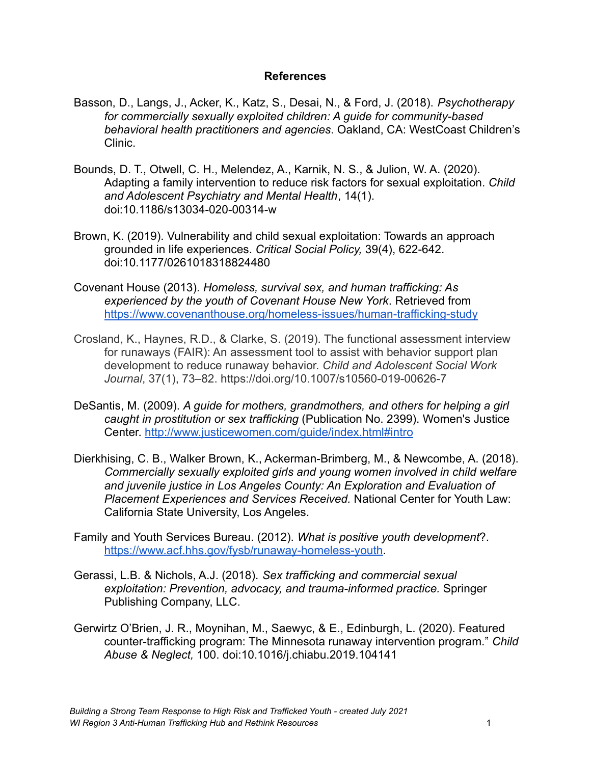## **References**

- Basson, D., Langs, J., Acker, K., Katz, S., Desai, N., & Ford, J. (2018). *Psychotherapy for commercially sexually exploited children: A guide for community-based behavioral health practitioners and agencies*. Oakland, CA: WestCoast Children's Clinic.
- Bounds, D. T., Otwell, C. H., Melendez, A., Karnik, N. S., & Julion, W. A. (2020). Adapting a family intervention to reduce risk factors for sexual exploitation. *Child and Adolescent Psychiatry and Mental Health*, 14(1). doi:10.1186/s13034-020-00314-w
- Brown, K. (2019). Vulnerability and child sexual exploitation: Towards an approach grounded in life experiences. *Critical Social Policy,* 39(4), 622-642. doi:10.1177/0261018318824480
- Covenant House (2013). *Homeless, survival sex, and human trafficking: As experienced by the youth of Covenant House New York*. Retrieved from https://www.covenanthouse.org/homeless-issues/human-trafficking-study
- Crosland, K., Haynes, R.D., & Clarke, S. (2019). The functional assessment interview for runaways (FAIR): An assessment tool to assist with behavior support plan development to reduce runaway behavior. *Child and Adolescent Social Work Journal*, 37(1), 73–82. https://doi.org/10.1007/s10560-019-00626-7
- DeSantis, M. (2009). *A guide for mothers, grandmothers, and others for helping a girl caught in prostitution or sex trafficking* (Publication No. 2399). Women's Justice Center. http://www.justicewomen.com/guide/index.html#intro
- Dierkhising, C. B., Walker Brown, K., Ackerman-Brimberg, M., & Newcombe, A. (2018). *Commercially sexually exploited girls and young women involved in child welfare and juvenile justice in Los Angeles County: An Exploration and Evaluation of Placement Experiences and Services Received.* National Center for Youth Law: California State University, Los Angeles.
- Family and Youth Services Bureau. (2012). *What is positive youth development*?. https://www.acf.hhs.gov/fysb/runaway-homeless-youth.
- Gerassi, L.B. & Nichols, A.J. (2018). *Sex trafficking and commercial sexual exploitation: Prevention, advocacy, and trauma-informed practice.* Springer Publishing Company, LLC.
- Gerwirtz O'Brien, J. R., Moynihan, M., Saewyc, & E., Edinburgh, L. (2020). Featured counter-trafficking program: The Minnesota runaway intervention program." *Child Abuse & Neglect,* 100. doi:10.1016/j.chiabu.2019.104141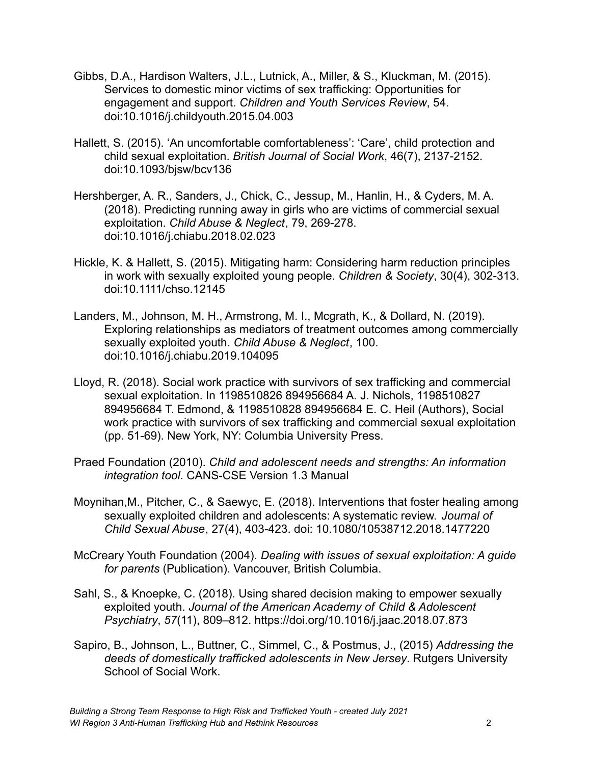- Gibbs, D.A., Hardison Walters, J.L., Lutnick, A., Miller, & S., Kluckman, M. (2015). Services to domestic minor victims of sex trafficking: Opportunities for engagement and support. *Children and Youth Services Review*, 54. doi:10.1016/j.childyouth.2015.04.003
- Hallett, S. (2015). 'An uncomfortable comfortableness': 'Care', child protection and child sexual exploitation. *British Journal of Social Work*, 46(7), 2137-2152. doi:10.1093/bjsw/bcv136
- Hershberger, A. R., Sanders, J., Chick, C., Jessup, M., Hanlin, H., & Cyders, M. A. (2018). Predicting running away in girls who are victims of commercial sexual exploitation. *Child Abuse & Neglect*, 79, 269-278. doi:10.1016/j.chiabu.2018.02.023
- Hickle, K. & Hallett, S. (2015). Mitigating harm: Considering harm reduction principles in work with sexually exploited young people. *Children & Society*, 30(4), 302-313. doi:10.1111/chso.12145
- Landers, M., Johnson, M. H., Armstrong, M. I., Mcgrath, K., & Dollard, N. (2019). Exploring relationships as mediators of treatment outcomes among commercially sexually exploited youth. *Child Abuse & Neglect*, 100. doi:10.1016/j.chiabu.2019.104095
- Lloyd, R. (2018). Social work practice with survivors of sex trafficking and commercial sexual exploitation. In 1198510826 894956684 A. J. Nichols, 1198510827 894956684 T. Edmond, & 1198510828 894956684 E. C. Heil (Authors), Social work practice with survivors of sex trafficking and commercial sexual exploitation (pp. 51-69). New York, NY: Columbia University Press.
- Praed Foundation (2010). *Child and adolescent needs and strengths: An information integration tool*. CANS-CSE Version 1.3 Manual
- Moynihan,M., Pitcher, C., & Saewyc, E. (2018). Interventions that foster healing among sexually exploited children and adolescents: A systematic review. *Journal of Child Sexual Abuse*, 27(4), 403-423. doi: 10.1080/10538712.2018.1477220
- McCreary Youth Foundation (2004). *Dealing with issues of sexual exploitation: A guide for parents* (Publication). Vancouver, British Columbia.
- Sahl, S., & Knoepke, C. (2018). Using shared decision making to empower sexually exploited youth. *Journal of the American Academy of Child & Adolescent Psychiatry*, *57*(11), 809–812. https://doi.org/10.1016/j.jaac.2018.07.873
- Sapiro, B., Johnson, L., Buttner, C., Simmel, C., & Postmus, J., (2015) *Addressing the deeds of domestically trafficked adolescents in New Jersey*. Rutgers University School of Social Work.